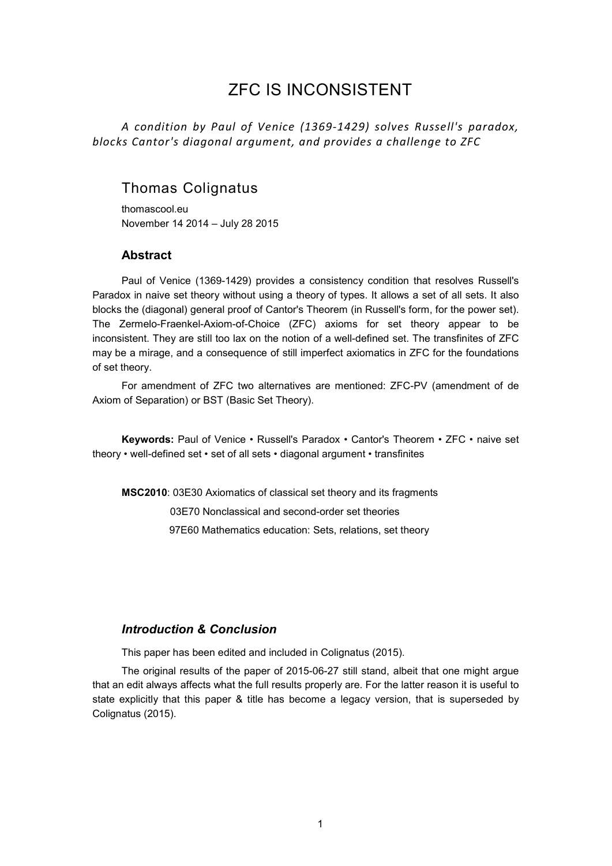# ZFC IS INCONSISTENT

*A condition by Paul of Venice (1369-1429) solves Russell's paradox, blocks Cantor's diagonal argument, and provides a challenge to ZFC*

## Thomas Colignatus

thomascool.eu November 14 2014 – July 28 2015

#### **Abstract**

Paul of Venice (1369-1429) provides a consistency condition that resolves Russell's Paradox in naive set theory without using a theory of types. It allows a set of all sets. It also blocks the (diagonal) general proof of Cantor's Theorem (in Russell's form, for the power set). The Zermelo-Fraenkel-Axiom-of-Choice (ZFC) axioms for set theory appear to be inconsistent. They are still too lax on the notion of a well-defined set. The transfinites of ZFC may be a mirage, and a consequence of still imperfect axiomatics in ZFC for the foundations of set theory.

For amendment of ZFC two alternatives are mentioned: ZFC-PV (amendment of de Axiom of Separation) or BST (Basic Set Theory).

**Keywords:** Paul of Venice • Russell's Paradox • Cantor's Theorem • ZFC • naive set theory • well-defined set • set of all sets • diagonal argument • transfinites

**MSC2010**: 03E30 Axiomatics of classical set theory and its fragments 03E70 Nonclassical and second-order set theories 97E60 Mathematics education: Sets, relations, set theory

### *Introduction & Conclusion*

This paper has been edited and included in Colignatus (2015).

The original results of the paper of 2015-06-27 still stand, albeit that one might argue that an edit always affects what the full results properly are. For the latter reason it is useful to state explicitly that this paper & title has become a legacy version, that is superseded by Colignatus (2015).